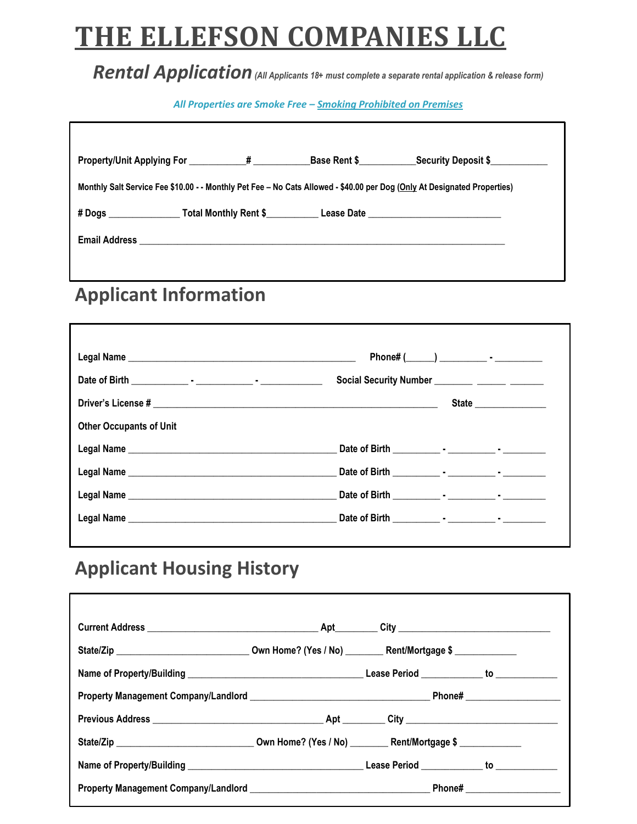# **THE ELLEFSON COMPANIES LLC**

#### *Rental Application(All Applicants 18+ must complete a separate rental application & release form)*

#### *All Properties are Smoke Free – Smoking Prohibited on Premises*

٦

| Property/Unit Applying For 44                                                                                            |  |  | Base Rent \$ Security Deposit \$ |  |  |  |
|--------------------------------------------------------------------------------------------------------------------------|--|--|----------------------------------|--|--|--|
| Monthly Salt Service Fee \$10.00 - - Monthly Pet Fee - No Cats Allowed - \$40.00 per Dog (Only At Designated Properties) |  |  |                                  |  |  |  |
| # Dogs __________________Total Monthly Rent \$____________Lease Date ____________                                        |  |  |                                  |  |  |  |
|                                                                                                                          |  |  |                                  |  |  |  |
|                                                                                                                          |  |  |                                  |  |  |  |
|                                                                                                                          |  |  |                                  |  |  |  |

### **Applicant Information**

Г

|                                | Social Security Number ________ ______ ______ |
|--------------------------------|-----------------------------------------------|
|                                | State                                         |
| <b>Other Occupants of Unit</b> |                                               |
|                                |                                               |
|                                |                                               |
|                                |                                               |
|                                |                                               |
|                                |                                               |

## **Applicant Housing History**